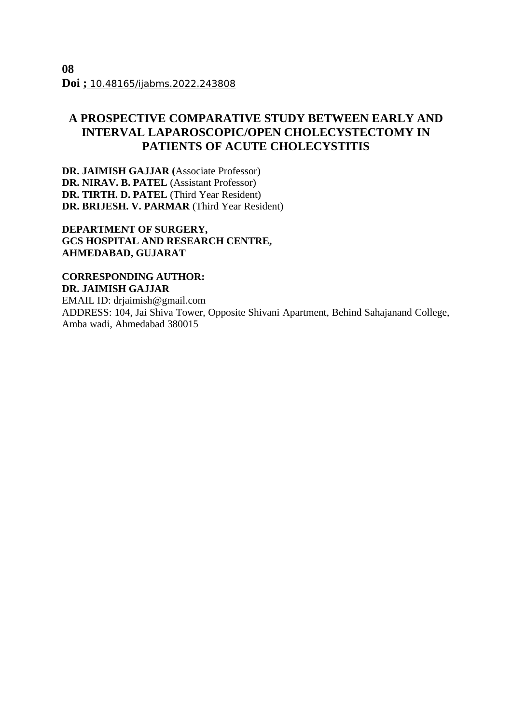# **A PROSPECTIVE COMPARATIVE STUDY BETWEEN EARLY AND INTERVAL LAPAROSCOPIC/OPEN CHOLECYSTECTOMY IN PATIENTS OF ACUTE CHOLECYSTITIS**

**DR. JAIMISH GAJJAR (**Associate Professor) **DR. NIRAV. B. PATEL** (Assistant Professor) **DR. TIRTH. D. PATEL** (Third Year Resident) **DR. BRIJESH. V. PARMAR** (Third Year Resident)

**DEPARTMENT OF SURGERY, GCS HOSPITAL AND RESEARCH CENTRE, AHMEDABAD, GUJARAT**

**CORRESPONDING AUTHOR: DR. JAIMISH GAJJAR**

EMAIL ID: drjaimish@gmail.com ADDRESS: 104, Jai Shiva Tower, Opposite Shivani Apartment, Behind Sahajanand College, Amba wadi, Ahmedabad 380015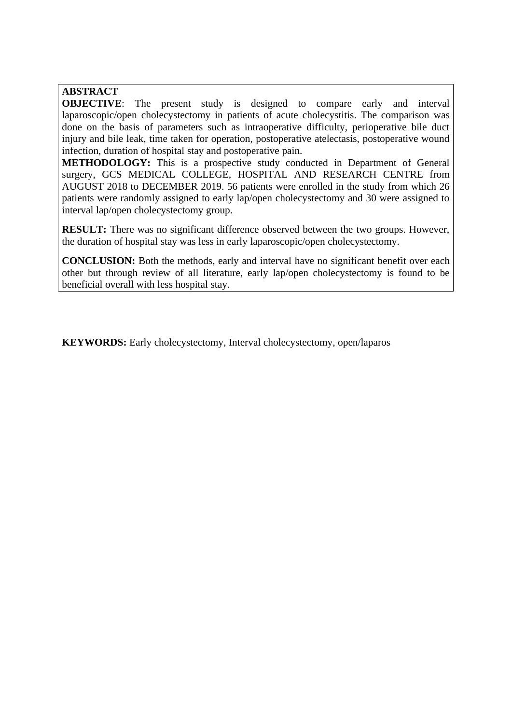## **ABSTRACT**

**OBJECTIVE**: The present study is designed to compare early and interval laparoscopic/open cholecystectomy in patients of acute cholecystitis. The comparison was done on the basis of parameters such as intraoperative difficulty, perioperative bile duct injury and bile leak, time taken for operation, postoperative atelectasis, postoperative wound infection, duration of hospital stay and postoperative pain.

**METHODOLOGY:** This is a prospective study conducted in Department of General surgery, GCS MEDICAL COLLEGE, HOSPITAL AND RESEARCH CENTRE from AUGUST 2018 to DECEMBER 2019. 56 patients were enrolled in the study from which 26 patients were randomly assigned to early lap/open cholecystectomy and 30 were assigned to interval lap/open cholecystectomy group.

**RESULT:** There was no significant difference observed between the two groups. However, the duration of hospital stay was less in early laparoscopic/open cholecystectomy.

**CONCLUSION:** Both the methods, early and interval have no significant benefit over each other but through review of all literature, early lap/open cholecystectomy is found to be beneficial overall with less hospital stay.

**KEYWORDS:** Early cholecystectomy, Interval cholecystectomy, open/laparos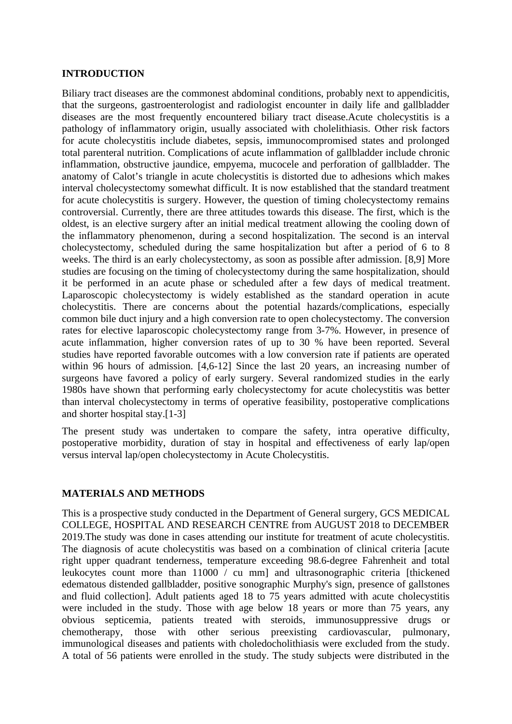#### **INTRODUCTION**

Biliary tract diseases are the commonest abdominal conditions, probably next to appendicitis, that the surgeons, gastroenterologist and radiologist encounter in daily life and gallbladder diseases are the most frequently encountered biliary tract disease.Acute cholecystitis is a pathology of inflammatory origin, usually associated with cholelithiasis. Other risk factors for acute cholecystitis include diabetes, sepsis, immunocompromised states and prolonged total parenteral nutrition. Complications of acute inflammation of gallbladder include chronic inflammation, obstructive jaundice, empyema, mucocele and perforation of gallbladder. The anatomy of Calot's triangle in acute cholecystitis is distorted due to adhesions which makes interval cholecystectomy somewhat difficult. It is now established that the standard treatment for acute cholecystitis is surgery. However, the question of timing cholecystectomy remains controversial. Currently, there are three attitudes towards this disease. The first, which is the oldest, is an elective surgery after an initial medical treatment allowing the cooling down of the inflammatory phenomenon, during a second hospitalization. The second is an interval cholecystectomy, scheduled during the same hospitalization but after a period of 6 to 8 weeks. The third is an early cholecystectomy, as soon as possible after admission. [8,9] More studies are focusing on the timing of cholecystectomy during the same hospitalization, should it be performed in an acute phase or scheduled after a few days of medical treatment. Laparoscopic cholecystectomy is widely established as the standard operation in acute cholecystitis. There are concerns about the potential hazards/complications, especially common bile duct injury and a high conversion rate to open cholecystectomy. The conversion rates for elective laparoscopic cholecystectomy range from 3-7%. However, in presence of acute inflammation, higher conversion rates of up to 30 % have been reported. Several studies have reported favorable outcomes with a low conversion rate if patients are operated within 96 hours of admission. [4,6-12] Since the last 20 years, an increasing number of surgeons have favored a policy of early surgery. Several randomized studies in the early 1980s have shown that performing early cholecystectomy for acute cholecystitis was better than interval cholecystectomy in terms of operative feasibility, postoperative complications and shorter hospital stay.[1-3]

The present study was undertaken to compare the safety, intra operative difficulty, postoperative morbidity, duration of stay in hospital and effectiveness of early lap/open versus interval lap/open cholecystectomy in Acute Cholecystitis.

## **MATERIALS AND METHODS**

This is a prospective study conducted in the Department of General surgery, GCS MEDICAL COLLEGE, HOSPITAL AND RESEARCH CENTRE from AUGUST 2018 to DECEMBER 2019.The study was done in cases attending our institute for treatment of acute cholecystitis. The diagnosis of acute cholecystitis was based on a combination of clinical criteria [acute right upper quadrant tenderness, temperature exceeding 98.6-degree Fahrenheit and total leukocytes count more than 11000 / cu mm] and ultrasonographic criteria [thickened edematous distended gallbladder, positive sonographic Murphy's sign, presence of gallstones and fluid collection]. Adult patients aged 18 to 75 years admitted with acute cholecystitis were included in the study. Those with age below 18 years or more than 75 years, any obvious septicemia, patients treated with steroids, immunosuppressive drugs or chemotherapy, those with other serious preexisting cardiovascular, pulmonary, immunological diseases and patients with choledocholithiasis were excluded from the study. A total of 56 patients were enrolled in the study. The study subjects were distributed in the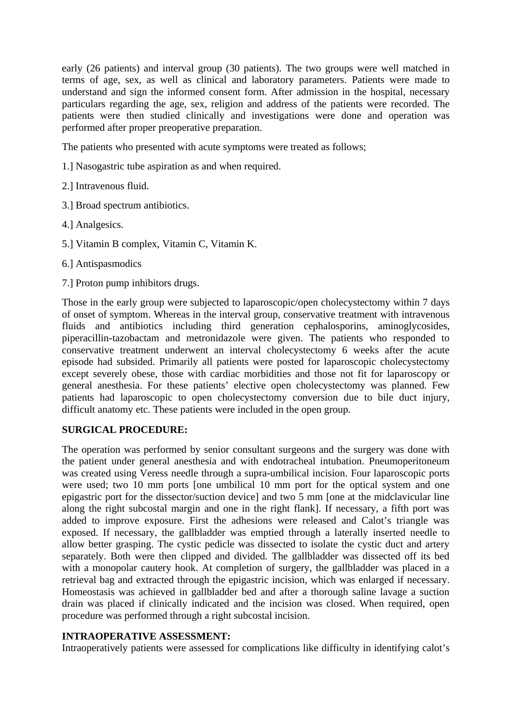early (26 patients) and interval group (30 patients). The two groups were well matched in terms of age, sex, as well as clinical and laboratory parameters. Patients were made to understand and sign the informed consent form. After admission in the hospital, necessary particulars regarding the age, sex, religion and address of the patients were recorded. The patients were then studied clinically and investigations were done and operation was performed after proper preoperative preparation.

The patients who presented with acute symptoms were treated as follows;

- 1.] Nasogastric tube aspiration as and when required.
- 2.] Intravenous fluid.
- 3.] Broad spectrum antibiotics.
- 4.] Analgesics.
- 5.] Vitamin B complex, Vitamin C, Vitamin K.
- 6.] Antispasmodics
- 7.] Proton pump inhibitors drugs.

Those in the early group were subjected to laparoscopic/open cholecystectomy within 7 days of onset of symptom. Whereas in the interval group, conservative treatment with intravenous fluids and antibiotics including third generation cephalosporins, aminoglycosides, piperacillin-tazobactam and metronidazole were given. The patients who responded to conservative treatment underwent an interval cholecystectomy 6 weeks after the acute episode had subsided. Primarily all patients were posted for laparoscopic cholecystectomy except severely obese, those with cardiac morbidities and those not fit for laparoscopy or general anesthesia. For these patients' elective open cholecystectomy was planned. Few patients had laparoscopic to open cholecystectomy conversion due to bile duct injury, difficult anatomy etc. These patients were included in the open group.

#### **SURGICAL PROCEDURE:**

The operation was performed by senior consultant surgeons and the surgery was done with the patient under general anesthesia and with endotracheal intubation. Pneumoperitoneum was created using Veress needle through a supra-umbilical incision. Four laparoscopic ports were used; two 10 mm ports [one umbilical 10 mm port for the optical system and one epigastric port for the dissector/suction device] and two 5 mm [one at the midclavicular line along the right subcostal margin and one in the right flank]. If necessary, a fifth port was added to improve exposure. First the adhesions were released and Calot's triangle was exposed. If necessary, the gallbladder was emptied through a laterally inserted needle to allow better grasping. The cystic pedicle was dissected to isolate the cystic duct and artery separately. Both were then clipped and divided. The gallbladder was dissected off its bed with a monopolar cautery hook. At completion of surgery, the gallbladder was placed in a retrieval bag and extracted through the epigastric incision, which was enlarged if necessary. Homeostasis was achieved in gallbladder bed and after a thorough saline lavage a suction drain was placed if clinically indicated and the incision was closed. When required, open procedure was performed through a right subcostal incision.

#### **INTRAOPERATIVE ASSESSMENT:**

Intraoperatively patients were assessed for complications like difficulty in identifying calot's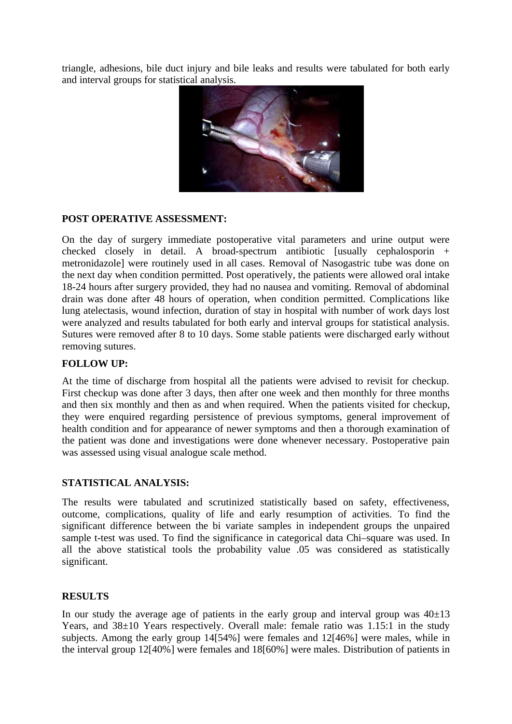triangle, adhesions, bile duct injury and bile leaks and results were tabulated for both early and interval groups for statistical analysis.



#### **POST OPERATIVE ASSESSMENT:**

On the day of surgery immediate postoperative vital parameters and urine output were checked closely in detail. A broad-spectrum antibiotic [usually cephalosporin + metronidazole] were routinely used in all cases. Removal of Nasogastric tube was done on the next day when condition permitted. Post operatively, the patients were allowed oral intake 18-24 hours after surgery provided, they had no nausea and vomiting. Removal of abdominal drain was done after 48 hours of operation, when condition permitted. Complications like lung atelectasis, wound infection, duration of stay in hospital with number of work days lost were analyzed and results tabulated for both early and interval groups for statistical analysis. Sutures were removed after 8 to 10 days. Some stable patients were discharged early without removing sutures.

#### **FOLLOW UP:**

At the time of discharge from hospital all the patients were advised to revisit for checkup. First checkup was done after 3 days, then after one week and then monthly for three months and then six monthly and then as and when required. When the patients visited for checkup, they were enquired regarding persistence of previous symptoms, general improvement of health condition and for appearance of newer symptoms and then a thorough examination of the patient was done and investigations were done whenever necessary. Postoperative pain was assessed using visual analogue scale method.

## **STATISTICAL ANALYSIS:**

The results were tabulated and scrutinized statistically based on safety, effectiveness, outcome, complications, quality of life and early resumption of activities. To find the significant difference between the bi variate samples in independent groups the unpaired sample t-test was used. To find the significance in categorical data Chi–square was used. In all the above statistical tools the probability value .05 was considered as statistically significant.

#### **RESULTS**

In our study the average age of patients in the early group and interval group was  $40\pm13$ Years, and 38±10 Years respectively. Overall male: female ratio was 1.15:1 in the study subjects. Among the early group 14[54%] were females and 12[46%] were males, while in the interval group 12[40%] were females and 18[60%] were males. Distribution of patients in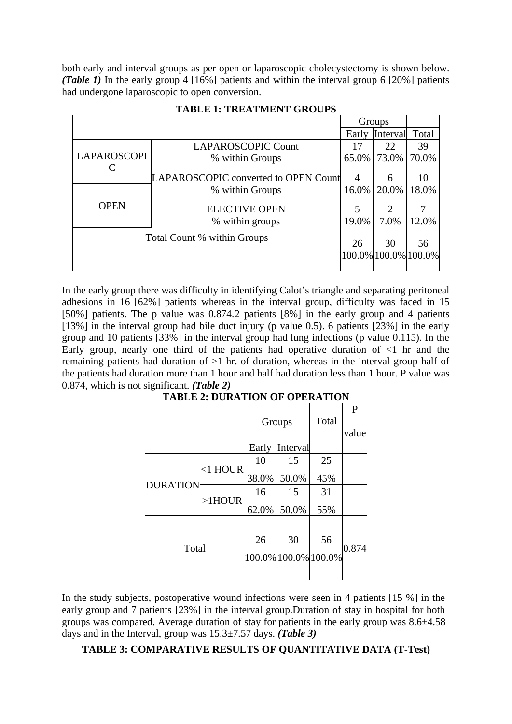both early and interval groups as per open or laparoscopic cholecystectomy is shown below. *(Table 1)* In the early group 4 [16%] patients and within the interval group 6 [20%] patients had undergone laparoscopic to open conversion.

|                             |                                      | Groups         |                            |       |
|-----------------------------|--------------------------------------|----------------|----------------------------|-------|
|                             |                                      | Early          | Interval                   | Total |
| LAPAROSCOPI                 | <b>LAPAROSCOPIC Count</b>            | 17             | 22                         | 39    |
|                             | % within Groups                      | 65.0%          | 73.0%                      | 70.0% |
|                             | LAPAROSCOPIC converted to OPEN Count | $\overline{4}$ | 6                          | 10    |
| <b>OPEN</b>                 | % within Groups                      |                | 16.0%   20.0%              | 18.0% |
|                             | <b>ELECTIVE OPEN</b>                 | 5              | $\mathcal{D}$              |       |
|                             | % within groups                      | 19.0%          | 7.0%                       | 12.0% |
| Total Count % within Groups |                                      | 26             | 30<br>100.0% 100.0% 100.0% | 56    |

#### **TABLE 1: TREATMENT GROUPS**

In the early group there was difficulty in identifying Calot's triangle and separating peritoneal adhesions in 16 [62%] patients whereas in the interval group, difficulty was faced in 15 [50%] patients. The p value was 0.874.2 patients [8%] in the early group and 4 patients [13%] in the interval group had bile duct injury (p value 0.5). 6 patients [23%] in the early group and 10 patients [33%] in the interval group had lung infections (p value 0.115). In the Early group, nearly one third of the patients had operative duration of  $\leq 1$  hr and the remaining patients had duration of >1 hr. of duration, whereas in the interval group half of the patients had duration more than 1 hour and half had duration less than 1 hour. P value was 0.874, which is not significant. *(Table 2)*

|                 |            |          | Groups                     | Total | P     |
|-----------------|------------|----------|----------------------------|-------|-------|
|                 |            |          |                            |       | value |
|                 |            | Early    | Interval                   |       |       |
| <b>DURATION</b> | $<$ 1 HOUR | 10       | 15                         | 25    |       |
|                 |            | 38.0%    | 50.0%                      | 45%   |       |
|                 | $>1$ HOUR  | 16       | 15                         | 31    |       |
|                 |            | $62.0\%$ | 50.0%                      | 55%   |       |
| Total           |            | 26       | 30<br>100.0% 100.0% 100.0% | 56    | 0.874 |

## **TABLE 2: DURATION OF OPERATION**

In the study subjects, postoperative wound infections were seen in 4 patients [15 %] in the early group and 7 patients [23%] in the interval group.Duration of stay in hospital for both groups was compared. Average duration of stay for patients in the early group was 8.6±4.58 days and in the Interval, group was 15.3±7.57 days. *(Table 3)*

## **TABLE 3: COMPARATIVE RESULTS OF QUANTITATIVE DATA (T-Test)**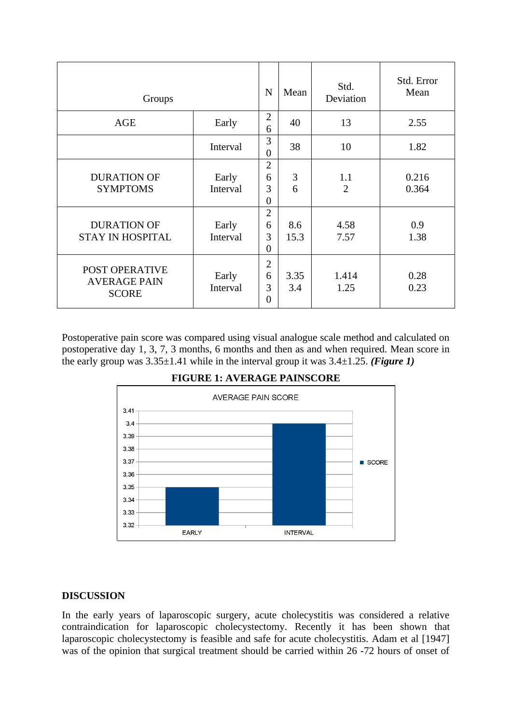| Groups                                                |                   |                                              | Mean        | Std.<br>Deviation     | Std. Error<br>Mean |
|-------------------------------------------------------|-------------------|----------------------------------------------|-------------|-----------------------|--------------------|
| AGE                                                   | Early             | $\overline{2}$<br>6                          | 40          | 13                    | 2.55               |
|                                                       | Interval          | 3<br>$\overline{0}$                          | 38          | 10                    | 1.82               |
| <b>DURATION OF</b><br><b>SYMPTOMS</b>                 | Early<br>Interval | $\overline{2}$<br>6<br>3<br>$\boldsymbol{0}$ | 3<br>6      | 1.1<br>$\overline{2}$ | 0.216<br>0.364     |
| <b>DURATION OF</b><br><b>STAY IN HOSPITAL</b>         | Early<br>Interval | $\overline{2}$<br>6<br>3<br>$\overline{0}$   | 8.6<br>15.3 | 4.58<br>7.57          | 0.9<br>1.38        |
| POST OPERATIVE<br><b>AVERAGE PAIN</b><br><b>SCORE</b> | Early<br>Interval | $\overline{2}$<br>6<br>3<br>$\boldsymbol{0}$ | 3.35<br>3.4 | 1.414<br>1.25         | 0.28<br>0.23       |

Postoperative pain score was compared using visual analogue scale method and calculated on postoperative day 1, 3, 7, 3 months, 6 months and then as and when required. Mean score in the early group was 3.35±1.41 while in the interval group it was 3.4±1.25. *(Figure 1)*



**FIGURE 1: AVERAGE PAINSCORE**

## **DISCUSSION**

In the early years of laparoscopic surgery, acute cholecystitis was considered a relative contraindication for laparoscopic cholecystectomy. Recently it has been shown that laparoscopic cholecystectomy is feasible and safe for acute cholecystitis. Adam et al [1947] was of the opinion that surgical treatment should be carried within 26 -72 hours of onset of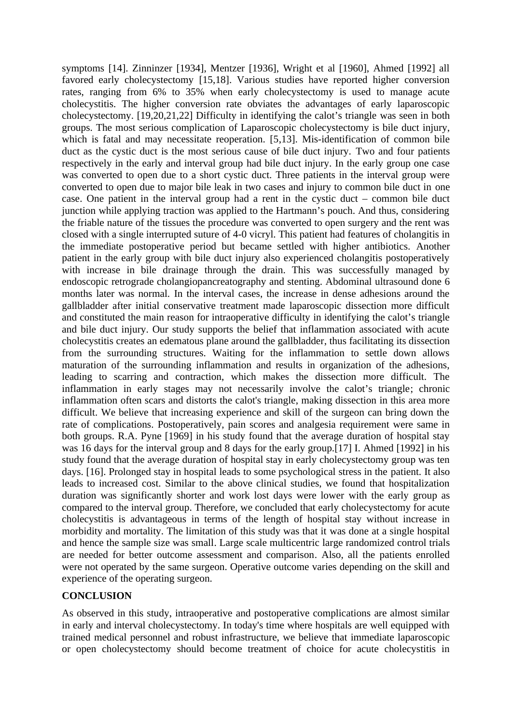symptoms [14]. Zinninzer [1934], Mentzer [1936], Wright et al [1960], Ahmed [1992] all favored early cholecystectomy [15,18]. Various studies have reported higher conversion rates, ranging from 6% to 35% when early cholecystectomy is used to manage acute cholecystitis. The higher conversion rate obviates the advantages of early laparoscopic cholecystectomy. [19,20,21,22] Difficulty in identifying the calot's triangle was seen in both groups. The most serious complication of Laparoscopic cholecystectomy is bile duct injury, which is fatal and may necessitate reoperation. [5,13]. Mis-identification of common bile duct as the cystic duct is the most serious cause of bile duct injury. Two and four patients respectively in the early and interval group had bile duct injury. In the early group one case was converted to open due to a short cystic duct. Three patients in the interval group were converted to open due to major bile leak in two cases and injury to common bile duct in one case. One patient in the interval group had a rent in the cystic duct – common bile duct junction while applying traction was applied to the Hartmann's pouch. And thus, considering the friable nature of the tissues the procedure was converted to open surgery and the rent was closed with a single interrupted suture of 4-0 vicryl. This patient had features of cholangitis in the immediate postoperative period but became settled with higher antibiotics. Another patient in the early group with bile duct injury also experienced cholangitis postoperatively with increase in bile drainage through the drain. This was successfully managed by endoscopic retrograde cholangiopancreatography and stenting. Abdominal ultrasound done 6 months later was normal. In the interval cases, the increase in dense adhesions around the gallbladder after initial conservative treatment made laparoscopic dissection more difficult and constituted the main reason for intraoperative difficulty in identifying the calot's triangle and bile duct injury. Our study supports the belief that inflammation associated with acute cholecystitis creates an edematous plane around the gallbladder, thus facilitating its dissection from the surrounding structures. Waiting for the inflammation to settle down allows maturation of the surrounding inflammation and results in organization of the adhesions, leading to scarring and contraction, which makes the dissection more difficult. The inflammation in early stages may not necessarily involve the calot's triangle; chronic inflammation often scars and distorts the calot's triangle, making dissection in this area more difficult. We believe that increasing experience and skill of the surgeon can bring down the rate of complications. Postoperatively, pain scores and analgesia requirement were same in both groups. R.A. Pyne [1969] in his study found that the average duration of hospital stay was 16 days for the interval group and 8 days for the early group.[17] I. Ahmed [1992] in his study found that the average duration of hospital stay in early cholecystectomy group was ten days. [16]. Prolonged stay in hospital leads to some psychological stress in the patient. It also leads to increased cost. Similar to the above clinical studies, we found that hospitalization duration was significantly shorter and work lost days were lower with the early group as compared to the interval group. Therefore, we concluded that early cholecystectomy for acute cholecystitis is advantageous in terms of the length of hospital stay without increase in morbidity and mortality. The limitation of this study was that it was done at a single hospital and hence the sample size was small. Large scale multicentric large randomized control trials are needed for better outcome assessment and comparison. Also, all the patients enrolled were not operated by the same surgeon. Operative outcome varies depending on the skill and experience of the operating surgeon.

## **CONCLUSION**

As observed in this study, intraoperative and postoperative complications are almost similar in early and interval cholecystectomy. In today's time where hospitals are well equipped with trained medical personnel and robust infrastructure, we believe that immediate laparoscopic or open cholecystectomy should become treatment of choice for acute cholecystitis in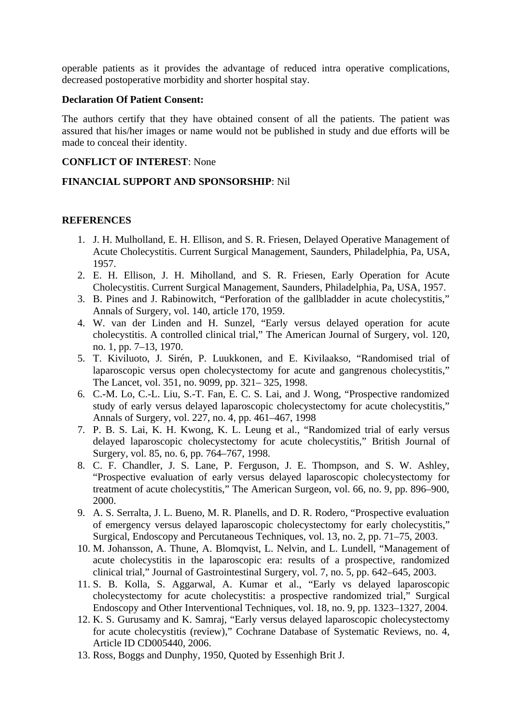operable patients as it provides the advantage of reduced intra operative complications, decreased postoperative morbidity and shorter hospital stay.

#### **Declaration Of Patient Consent:**

The authors certify that they have obtained consent of all the patients. The patient was assured that his/her images or name would not be published in study and due efforts will be made to conceal their identity.

#### **CONFLICT OF INTEREST**: None

#### **FINANCIAL SUPPORT AND SPONSORSHIP**: Nil

#### **REFERENCES**

- 1. J. H. Mulholland, E. H. Ellison, and S. R. Friesen, Delayed Operative Management of Acute Cholecystitis. Current Surgical Management, Saunders, Philadelphia, Pa, USA, 1957.
- 2. E. H. Ellison, J. H. Miholland, and S. R. Friesen, Early Operation for Acute Cholecystitis. Current Surgical Management, Saunders, Philadelphia, Pa, USA, 1957.
- 3. B. Pines and J. Rabinowitch, "Perforation of the gallbladder in acute cholecystitis," Annals of Surgery, vol. 140, article 170, 1959.
- 4. W. van der Linden and H. Sunzel, "Early versus delayed operation for acute cholecystitis. A controlled clinical trial," The American Journal of Surgery, vol. 120, no. 1, pp. 7–13, 1970.
- 5. T. Kiviluoto, J. Sirén, P. Luukkonen, and E. Kivilaakso, "Randomised trial of laparoscopic versus open cholecystectomy for acute and gangrenous cholecystitis," The Lancet, vol. 351, no. 9099, pp. 321– 325, 1998.
- 6. C.-M. Lo, C.-L. Liu, S.-T. Fan, E. C. S. Lai, and J. Wong, "Prospective randomized study of early versus delayed laparoscopic cholecystectomy for acute cholecystitis," Annals of Surgery, vol. 227, no. 4, pp. 461–467, 1998
- 7. P. B. S. Lai, K. H. Kwong, K. L. Leung et al., "Randomized trial of early versus delayed laparoscopic cholecystectomy for acute cholecystitis," British Journal of Surgery, vol. 85, no. 6, pp. 764–767, 1998.
- 8. C. F. Chandler, J. S. Lane, P. Ferguson, J. E. Thompson, and S. W. Ashley, "Prospective evaluation of early versus delayed laparoscopic cholecystectomy for treatment of acute cholecystitis," The American Surgeon, vol. 66, no. 9, pp. 896–900, 2000.
- 9. A. S. Serralta, J. L. Bueno, M. R. Planells, and D. R. Rodero, "Prospective evaluation of emergency versus delayed laparoscopic cholecystectomy for early cholecystitis," Surgical, Endoscopy and Percutaneous Techniques, vol. 13, no. 2, pp. 71–75, 2003.
- 10. M. Johansson, A. Thune, A. Blomqvist, L. Nelvin, and L. Lundell, "Management of acute cholecystitis in the laparoscopic era: results of a prospective, randomized clinical trial," Journal of Gastrointestinal Surgery, vol. 7, no. 5, pp. 642–645, 2003.
- 11. S. B. Kolla, S. Aggarwal, A. Kumar et al., "Early vs delayed laparoscopic cholecystectomy for acute cholecystitis: a prospective randomized trial," Surgical Endoscopy and Other Interventional Techniques, vol. 18, no. 9, pp. 1323–1327, 2004.
- 12. K. S. Gurusamy and K. Samraj, "Early versus delayed laparoscopic cholecystectomy for acute cholecystitis (review)," Cochrane Database of Systematic Reviews, no. 4, Article ID CD005440, 2006.
- 13. Ross, Boggs and Dunphy, 1950, Quoted by Essenhigh Brit J.